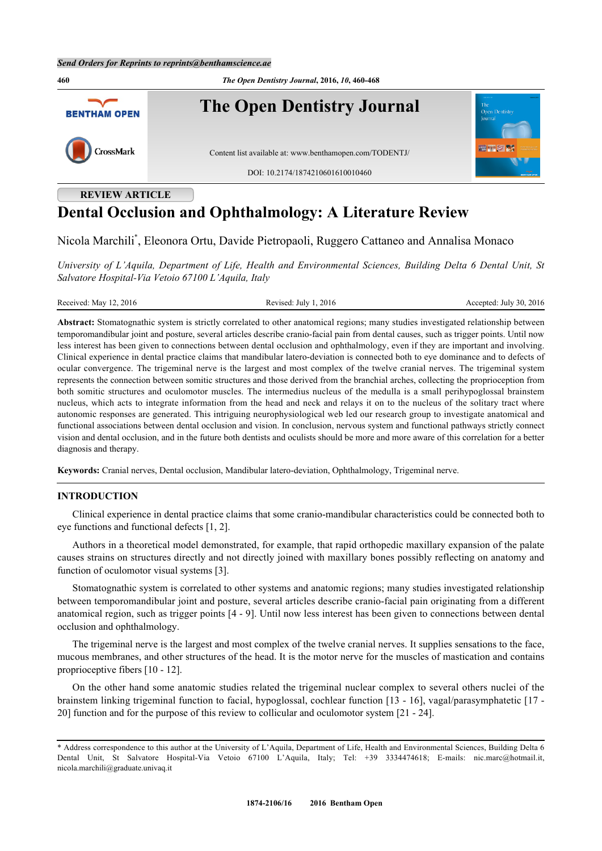

# **Dental Occlusion and Ophthalmology: A Literature Review**

Nicola Marchili[\\*](#page-0-0) , Eleonora Ortu, Davide Pietropaoli, Ruggero Cattaneo and Annalisa Monaco

*University of L'Aquila, Department of Life, Health and Environmental Sciences, Building Delta 6 Dental Unit, St Salvatore Hospital-Via Vetoio 67100 L'Aquila, Italy*

Received: May 12, 2016 Revised: July 1, 2016 Revised: July 1, 2016 Accepted: July 30, 2016

**Abstract:** Stomatognathic system is strictly correlated to other anatomical regions; many studies investigated relationship between temporomandibular joint and posture, several articles describe cranio-facial pain from dental causes, such as trigger points. Until now less interest has been given to connections between dental occlusion and ophthalmology, even if they are important and involving. Clinical experience in dental practice claims that mandibular latero-deviation is connected both to eye dominance and to defects of ocular convergence. The trigeminal nerve is the largest and most complex of the twelve cranial nerves. The trigeminal system represents the connection between somitic structures and those derived from the branchial arches, collecting the proprioception from both somitic structures and oculomotor muscles. The intermedius nucleus of the medulla is a small perihypoglossal brainstem nucleus, which acts to integrate information from the head and neck and relays it on to the nucleus of the solitary tract where autonomic responses are generated. This intriguing neurophysiological web led our research group to investigate anatomical and functional associations between dental occlusion and vision. In conclusion, nervous system and functional pathways strictly connect vision and dental occlusion, and in the future both dentists and oculists should be more and more aware of this correlation for a better diagnosis and therapy.

**Keywords:** Cranial nerves, Dental occlusion, Mandibular latero-deviation, Ophthalmology, Trigeminal nerve.

# **INTRODUCTION**

Clinical experience in dental practice claims that some cranio-mandibular characteristics could be connected both to eye functions and functional defects [[1,](#page-6-0) [2\]](#page-6-1).

Authors in a theoretical model demonstrated, for example, that rapid orthopedic maxillary expansion of the palate causes strains on structures directly and not directly joined with maxillary bones possibly reflecting on anatomy and function of oculomotor visual systems [[3\]](#page-6-2).

Stomatognathic system is correlated to other systems and anatomic regions; many studies investigated relationship between temporomandibular joint and posture, several articles describe cranio-facial pain originating from a different anatomical region, such as trigger points [[4](#page-6-3) - [9](#page-6-4)]. Until now less interest has been given to connections between dental occlusion and ophthalmology.

The trigeminal nerve is the largest and most complex of the twelve cranial nerves. It supplies sensations to the face, mucous membranes, and other structures of the head. It is the motor nerve for the muscles of mastication and contains proprioceptive fibers [\[10](#page-6-5) - [12](#page-6-6)].

On the other hand some anatomic studies related the trigeminal nuclear complex to several others nuclei of the brainstem linking trigeminal function to facial, hypoglossal, cochlear function [\[13](#page-6-7) - [16\]](#page-7-0), vagal/parasymphatetic [\[17](#page-7-1) - [20\]](#page-7-2) function and for the purpose of this review to collicular and oculomotor system [[21](#page-7-3) - [24\]](#page-7-4).

<span id="page-0-0"></span><sup>\*</sup> Address correspondence to this author at the University of L'Aquila, Department of Life, Health and Environmental Sciences, Building Delta 6 Dental Unit, St Salvatore Hospital-Via Vetoio 67100 L'Aquila, Italy; Tel: +39 3334474618; E-mails: [nic.marc@hotmail.it,](mailto:nic.marc@hotmail.it) [nicola.marchili@graduate.univaq.it](mailto:nicola.marchili@graduate.univaq.it)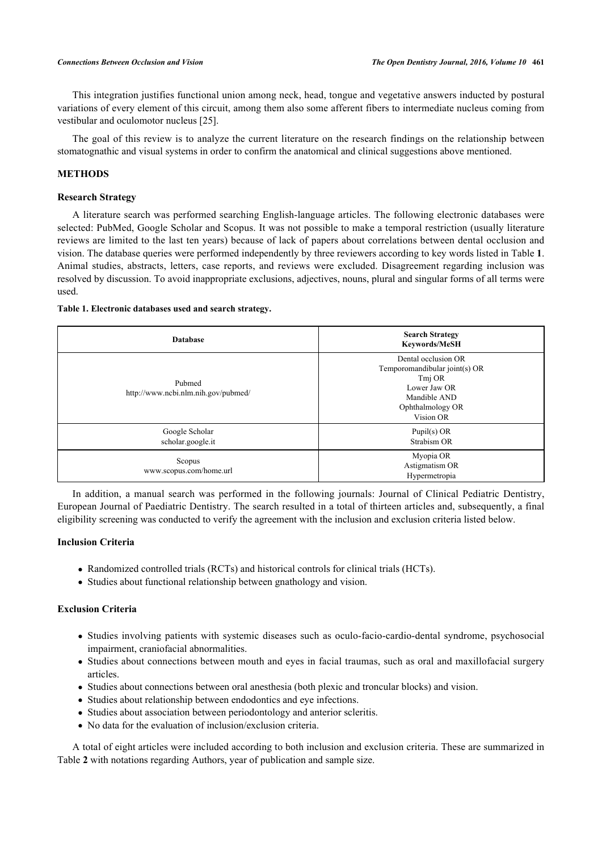This integration justifies functional union among neck, head, tongue and vegetative answers inducted by postural variations of every element of this circuit, among them also some afferent fibers to intermediate nucleus coming from vestibular and oculomotor nucleus [[25\]](#page-7-5).

The goal of this review is to analyze the current literature on the research findings on the relationship between stomatognathic and visual systems in order to confirm the anatomical and clinical suggestions above mentioned.

### **METHODS**

# **Research Strategy**

A literature search was performed searching English-language articles. The following electronic databases were selected: PubMed, Google Scholar and Scopus. It was not possible to make a temporal restriction (usually literature reviews are limited to the last ten years) because of lack of papers about correlations between dental occlusion and vision. The database queries were performed independently by three reviewers according to key words listed in Table **[1](#page-1-0)**. Animal studies, abstracts, letters, case reports, and reviews were excluded. Disagreement regarding inclusion was resolved by discussion. To avoid inappropriate exclusions, adjectives, nouns, plural and singular forms of all terms were used.

### <span id="page-1-0"></span>**Table 1. Electronic databases used and search strategy.**

| <b>Database</b>                               | <b>Search Strategy</b><br><b>Keywords/MeSH</b>                                                                                  |  |
|-----------------------------------------------|---------------------------------------------------------------------------------------------------------------------------------|--|
| Pubmed<br>http://www.ncbi.nlm.nih.gov/pubmed/ | Dental occlusion OR<br>Temporomandibular joint(s) OR<br>Tmj OR<br>Lower Jaw OR<br>Mandible AND<br>Ophthalmology OR<br>Vision OR |  |
| Google Scholar<br>scholar.google.it           | Pupil $(s)$ OR<br>Strabism OR                                                                                                   |  |
| Scopus<br>www.scopus.com/home.url             | Myopia OR<br>Astigmatism OR<br>Hypermetropia                                                                                    |  |

In addition, a manual search was performed in the following journals: Journal of Clinical Pediatric Dentistry, European Journal of Paediatric Dentistry. The search resulted in a total of thirteen articles and, subsequently, a final eligibility screening was conducted to verify the agreement with the inclusion and exclusion criteria listed below.

# **Inclusion Criteria**

- Randomized controlled trials (RCTs) and historical controls for clinical trials (HCTs).
- Studies about functional relationship between gnathology and vision.

### **Exclusion Criteria**

- Studies involving patients with systemic diseases such as oculo-facio-cardio-dental syndrome, psychosocial impairment, craniofacial abnormalities.
- Studies about connections between mouth and eyes in facial traumas, such as oral and maxillofacial surgery articles.
- Studies about connections between oral anesthesia (both plexic and troncular blocks) and vision.
- Studies about relationship between endodontics and eye infections.
- Studies about association between periodontology and anterior scleritis.
- No data for the evaluation of inclusion/exclusion criteria.

<span id="page-1-1"></span>A total of eight articles were included according to both inclusion and exclusion criteria. These are summarized in Table **[2](#page-1-1)** with notations regarding Authors, year of publication and sample size.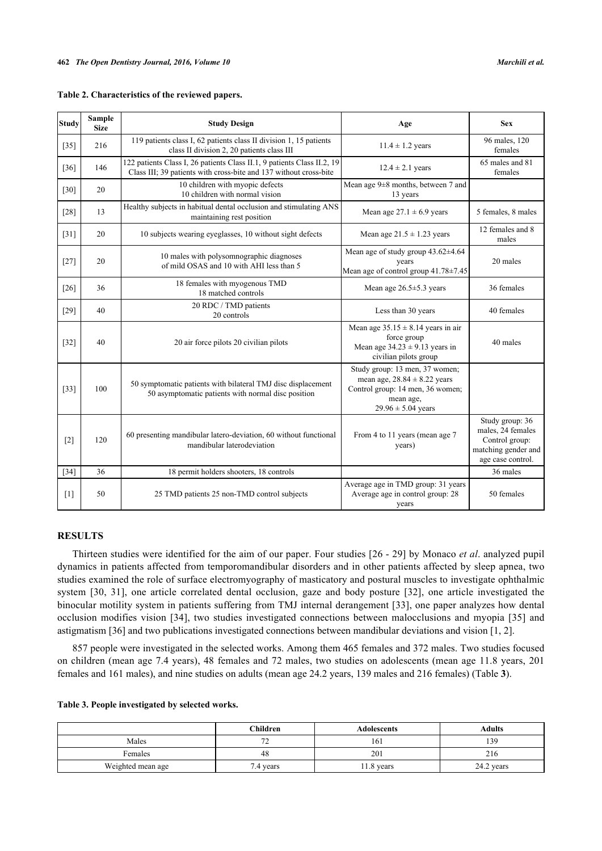| <b>Study</b> | <b>Sample</b><br><b>Size</b> | <b>Study Design</b>                                                                                                                          | Age                                                                                                                                           | <b>Sex</b>                                                                                         |
|--------------|------------------------------|----------------------------------------------------------------------------------------------------------------------------------------------|-----------------------------------------------------------------------------------------------------------------------------------------------|----------------------------------------------------------------------------------------------------|
| $[35]$       | 216                          | 119 patients class I, 62 patients class II division 1, 15 patients<br>class II division 2, 20 patients class III                             | $11.4 \pm 1.2$ years                                                                                                                          | 96 males, 120<br>females                                                                           |
| $[36]$       | 146                          | 122 patients Class I, 26 patients Class II.1, 9 patients Class II.2, 19<br>Class III; 39 patients with cross-bite and 137 without cross-bite | $12.4 \pm 2.1$ years                                                                                                                          | 65 males and 81<br>females                                                                         |
| $[30]$       | 20                           | 10 children with myopic defects<br>10 children with normal vision                                                                            | Mean age 9±8 months, between 7 and<br>13 years                                                                                                |                                                                                                    |
| [28]         | 13                           | Healthy subjects in habitual dental occlusion and stimulating ANS<br>maintaining rest position                                               | Mean age $27.1 \pm 6.9$ years                                                                                                                 | 5 females, 8 males                                                                                 |
| $[31]$       | 20                           | 10 subjects wearing eyeglasses, 10 without sight defects                                                                                     | Mean age $21.5 \pm 1.23$ years                                                                                                                | 12 females and 8<br>males                                                                          |
| $[27]$       | 20                           | 10 males with polysomnographic diagnoses<br>of mild OSAS and 10 with AHI less than 5                                                         | Mean age of study group $43.62 \pm 4.64$<br>vears<br>Mean age of control group 41.78±7.45                                                     | 20 males                                                                                           |
| $[26]$       | 36                           | 18 females with myogenous TMD<br>18 matched controls                                                                                         | Mean age $26.5 \pm 5.3$ years                                                                                                                 | 36 females                                                                                         |
| $[29]$       | 40                           | 20 RDC / TMD patients<br>20 controls                                                                                                         | Less than 30 years                                                                                                                            | 40 females                                                                                         |
| $[32]$       | 40                           | 20 air force pilots 20 civilian pilots                                                                                                       | Mean age $35.15 \pm 8.14$ years in air<br>force group<br>Mean age $34.23 \pm 9.13$ years in<br>civilian pilots group                          | 40 males                                                                                           |
| $[33]$       | 100                          | 50 symptomatic patients with bilateral TMJ disc displacement<br>50 asymptomatic patients with normal disc position                           | Study group: 13 men, 37 women;<br>mean age, $28.84 \pm 8.22$ years<br>Control group: 14 men, 36 women;<br>mean age,<br>$29.96 \pm 5.04$ years |                                                                                                    |
| $[2]$        | 120                          | 60 presenting mandibular latero-deviation, 60 without functional<br>mandibular laterodeviation                                               | From 4 to 11 years (mean age 7<br>years)                                                                                                      | Study group: 36<br>males, 24 females<br>Control group:<br>matching gender and<br>age case control. |
| $[34]$       | 36                           | 18 permit holders shooters, 18 controls                                                                                                      |                                                                                                                                               | 36 males                                                                                           |
| [1]          | 50                           | 25 TMD patients 25 non-TMD control subjects                                                                                                  | Average age in TMD group: 31 years<br>Average age in control group: 28<br>years                                                               |                                                                                                    |

| Table 2. Characteristics of the reviewed papers. |  |  |  |
|--------------------------------------------------|--|--|--|
|--------------------------------------------------|--|--|--|

# **RESULTS**

Thirteen studies were identified for the aim of our paper. Four studies [\[26](#page-7-11) - [29](#page-7-12)] by Monaco *et al*. analyzed pupil dynamics in patients affected from temporomandibular disorders and in other patients affected by sleep apnea, two studies examined the role of surface electromyography of masticatory and postural muscles to investigate ophthalmic system[[30,](#page-7-7) [31\]](#page-7-9), one article correlated dental occlusion, gaze and body posture [\[32](#page-7-13)], one article investigated the binocular motility system in patients suffering from TMJ internal derangement [\[33\]](#page-7-14), one paper analyzes how dental occlusion modifies vision[[34](#page-7-15)], two studies investigated connections between malocclusions and myopia [\[35\]](#page-7-6) and astigmatism [[36\]](#page-8-0) and two publications investigated connections between mandibular deviations and vision [\[1](#page-6-0), [2](#page-6-1)].

857 people were investigated in the selected works. Among them 465 females and 372 males. Two studies focused on children (mean age 7.4 years), 48 females and 72 males, two studies on adolescents (mean age 11.8 years, 201 females and 161 males), and nine studies on adults (mean age 24.2 years, 139 males and 216 females) (Table **[3](#page-2-0)**).

<span id="page-2-0"></span>

|  | Table 3. People investigated by selected works. |  |  |
|--|-------------------------------------------------|--|--|
|  |                                                 |  |  |

|                   | Children  | Adolescents | <b>Adults</b> |
|-------------------|-----------|-------------|---------------|
| Males             | --<br>∸   | 161         | 139           |
| Females           | 48        | 201         | 216           |
| Weighted mean age | 7.4 years | 11.8 years  | 24.2 years    |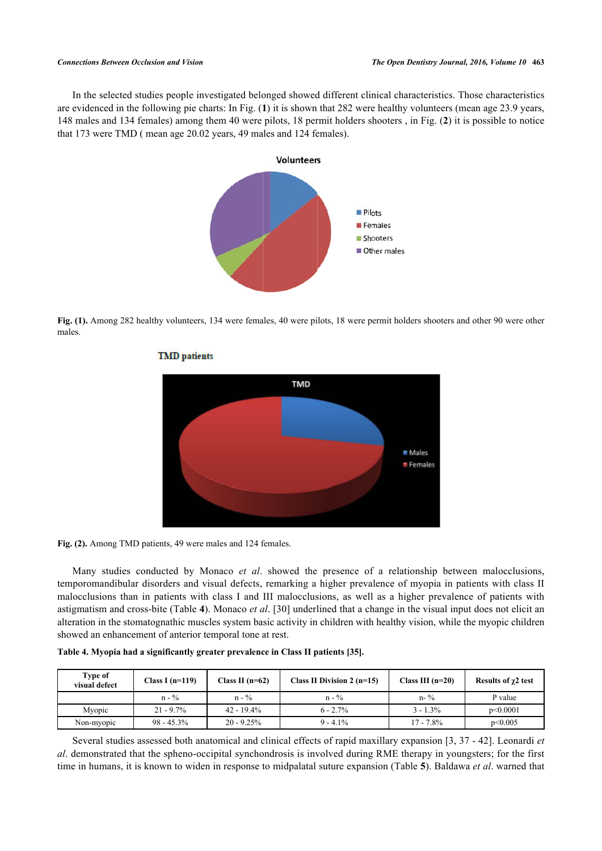<span id="page-3-0"></span>In the selected studies people investigated belonged showed different clinical characteristics. Those characteristics are evidenced in the following pie charts: In Fig. (**[1](#page-3-0)**) it is shown that 282 were healthy volunteers (mean age 23.9 years, 148 males and 134 females) among them 40 were pilots, 18 permit holders shooters , in Fig. (**[2](#page-3-1)**) it is possible to notice that 173 were TMD ( mean age 20.02 years, 49 males and 124 females).



<span id="page-3-1"></span>**Fig. (1).** Among 282 healthy volunteers, 134 were females, 40 were pilots, 18 were permit holders shooters and other 90 were other males.



### **TMD** patients

Fig. (2). Among TMD patients, 49 were males and 124 females.

Many studies conducted by Monaco *et al*. showed the presence of a relationship between malocclusions, temporomandibular disorders and visual defects, remarking a higher prevalence of myopia in patients with class II malocclusions than in patients with class I and III malocclusions, as well as a higher prevalence of patients with astigmatism and cross-bite (Table **[4](#page-3-2)**). Monaco *et al*. [[30\]](#page-7-7) underlined that a change in the visual input does not elicit an alteration in the stomatognathic muscles system basic activity in children with healthy vision, while the myopic children showed an enhancement of anterior temporal tone at rest.

<span id="page-3-2"></span>

|  |  | Table 4. Myopia had a significantly greater prevalence in Class II patients [35]. |  |  |
|--|--|-----------------------------------------------------------------------------------|--|--|
|  |  |                                                                                   |  |  |

| Type of<br>visual defect | Class I $(n=119)$ | Class II $(n=62)$ | Class II Division $2(n=15)$ | Class III $(n=20)$ | Results of $\chi$ 2 test |
|--------------------------|-------------------|-------------------|-----------------------------|--------------------|--------------------------|
|                          | $n - \frac{9}{6}$ | $n - \frac{9}{6}$ | $n - \frac{0}{2}$           | $n - \frac{9}{6}$  | P value                  |
| Myopic                   | $21 - 9.7\%$      | $42 - 19.4\%$     | $6 - 2.7\%$                 | $3 - 1.3\%$        | p<0.0001                 |
| Non-myopic               | $98 - 45.3\%$     | $20 - 9.25\%$     | $9 - 4.1\%$                 | $17 - 7.8\%$       | p<0.005                  |

Several studies assessed both anatomical and clinical effects of rapid maxillary expansion [[3](#page-6-2), [37](#page-8-1) - [42](#page-8-2)]. Leonardi *et al*. demonstrated that the spheno-occipital synchondrosis is involved during RME therapy in youngsters; for the first time in humans, it is known to widen in response to midpalatal suture expansion (Table **[5](#page-4-0)**). Baldawa *et al*. warned that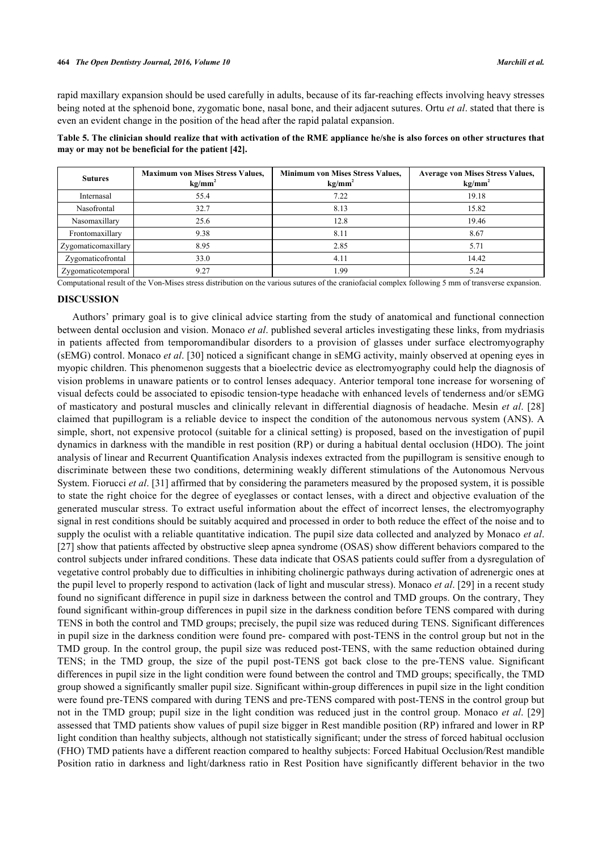rapid maxillary expansion should be used carefully in adults, because of its far-reaching effects involving heavy stresses being noted at the sphenoid bone, zygomatic bone, nasal bone, and their adjacent sutures. Ortu *et al*. stated that there is even an evident change in the position of the head after the rapid palatal expansion.

<span id="page-4-0"></span>**Table 5. The clinician should realize that with activation of the RME appliance he/she is also forces on other structures that may or may not be beneficial for the patient [\[42](#page-8-2)].**

| <b>Sutures</b>      | <b>Maximum von Mises Stress Values,</b><br>kg/mm <sup>2</sup> | <b>Minimum von Mises Stress Values,</b><br>$kg/mm^2$ | <b>Average von Mises Stress Values,</b><br>$kg/mm^2$ |
|---------------------|---------------------------------------------------------------|------------------------------------------------------|------------------------------------------------------|
| Internasal          | 55.4                                                          | 7.22                                                 | 19.18                                                |
| Nasofrontal         | 32.7                                                          | 8.13                                                 | 15.82                                                |
| Nasomaxillary       | 25.6                                                          | 12.8                                                 | 19.46                                                |
| Frontomaxillary     | 9.38                                                          | 8.11                                                 | 8.67                                                 |
| Zygomaticomaxillary | 8.95                                                          | 2.85                                                 | 5.71                                                 |
| Zygomaticofrontal   | 33.0                                                          | 4.11                                                 | 14.42                                                |
| Zygomaticotemporal  | 9.27                                                          | l.99                                                 | 5.24                                                 |

Computational result of the Von-Mises stress distribution on the various sutures of the craniofacial complex following 5 mm of transverse expansion.

### **DISCUSSION**

Authors' primary goal is to give clinical advice starting from the study of anatomical and functional connection between dental occlusion and vision. Monaco *et al*. published several articles investigating these links, from mydriasis in patients affected from temporomandibular disorders to a provision of glasses under surface electromyography (sEMG) control. Monaco *et al*. [\[30](#page-7-7)] noticed a significant change in sEMG activity, mainly observed at opening eyes in myopic children. This phenomenon suggests that a bioelectric device as electromyography could help the diagnosis of vision problems in unaware patients or to control lenses adequacy. Anterior temporal tone increase for worsening of visual defects could be associated to episodic tension-type headache with enhanced levels of tenderness and/or sEMG of masticatory and postural muscles and clinically relevant in differential diagnosis of headache. Mesin *et al*. [[28](#page-7-8)] claimed that pupillogram is a reliable device to inspect the condition of the autonomous nervous system (ANS). A simple, short, not expensive protocol (suitable for a clinical setting) is proposed, based on the investigation of pupil dynamics in darkness with the mandible in rest position (RP) or during a habitual dental occlusion (HDO). The joint analysis of linear and Recurrent Quantification Analysis indexes extracted from the pupillogram is sensitive enough to discriminate between these two conditions, determining weakly different stimulations of the Autonomous Nervous System. Fiorucci *et al*. [\[31](#page-7-9)] affirmed that by considering the parameters measured by the proposed system, it is possible to state the right choice for the degree of eyeglasses or contact lenses, with a direct and objective evaluation of the generated muscular stress. To extract useful information about the effect of incorrect lenses, the electromyography signal in rest conditions should be suitably acquired and processed in order to both reduce the effect of the noise and to supply the oculist with a reliable quantitative indication. The pupil size data collected and analyzed by Monaco *et al*. [\[27](#page-7-10)] show that patients affected by obstructive sleep apnea syndrome (OSAS) show different behaviors compared to the control subjects under infrared conditions. These data indicate that OSAS patients could suffer from a dysregulation of vegetative control probably due to difficulties in inhibiting cholinergic pathways during activation of adrenergic ones at the pupil level to properly respond to activation (lack of light and muscular stress). Monaco *et al*. [[29](#page-7-12)] in a recent study found no significant difference in pupil size in darkness between the control and TMD groups. On the contrary, They found significant within-group differences in pupil size in the darkness condition before TENS compared with during TENS in both the control and TMD groups; precisely, the pupil size was reduced during TENS. Significant differences in pupil size in the darkness condition were found pre- compared with post-TENS in the control group but not in the TMD group. In the control group, the pupil size was reduced post-TENS, with the same reduction obtained during TENS; in the TMD group, the size of the pupil post-TENS got back close to the pre-TENS value. Significant differences in pupil size in the light condition were found between the control and TMD groups; specifically, the TMD group showed a significantly smaller pupil size. Significant within-group differences in pupil size in the light condition were found pre-TENS compared with during TENS and pre-TENS compared with post-TENS in the control group but not in the TMD group; pupil size in the light condition was reduced just in the control group. Monaco *et al*. [[29](#page-7-12)] assessed that TMD patients show values of pupil size bigger in Rest mandible position (RP) infrared and lower in RP light condition than healthy subjects, although not statistically significant; under the stress of forced habitual occlusion (FHO) TMD patients have a different reaction compared to healthy subjects: Forced Habitual Occlusion/Rest mandible Position ratio in darkness and light/darkness ratio in Rest Position have significantly different behavior in the two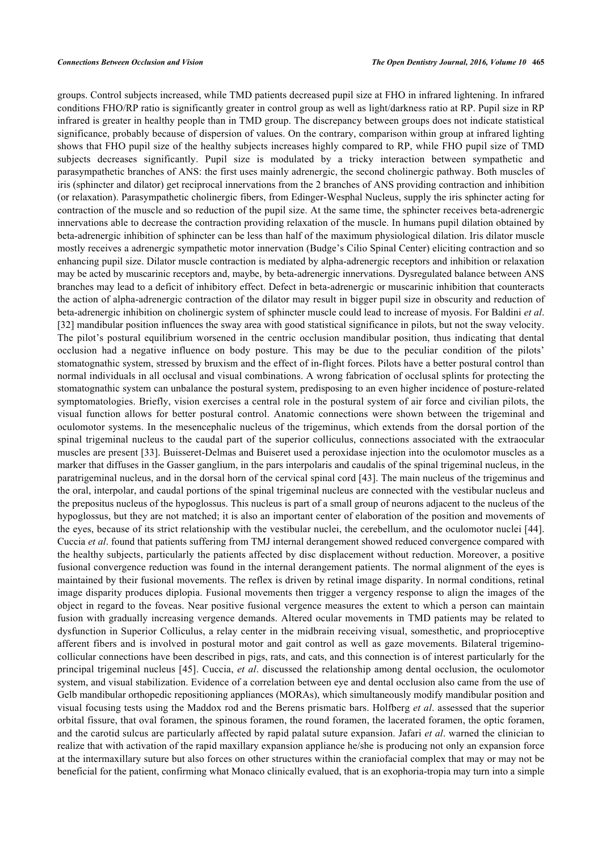groups. Control subjects increased, while TMD patients decreased pupil size at FHO in infrared lightening. In infrared conditions FHO/RP ratio is significantly greater in control group as well as light/darkness ratio at RP. Pupil size in RP infrared is greater in healthy people than in TMD group. The discrepancy between groups does not indicate statistical significance, probably because of dispersion of values. On the contrary, comparison within group at infrared lighting shows that FHO pupil size of the healthy subjects increases highly compared to RP, while FHO pupil size of TMD subjects decreases significantly. Pupil size is modulated by a tricky interaction between sympathetic and parasympathetic branches of ANS: the first uses mainly adrenergic, the second cholinergic pathway. Both muscles of iris (sphincter and dilator) get reciprocal innervations from the 2 branches of ANS providing contraction and inhibition (or relaxation). Parasympathetic cholinergic fibers, from Edinger-Wesphal Nucleus, supply the iris sphincter acting for contraction of the muscle and so reduction of the pupil size. At the same time, the sphincter receives beta-adrenergic innervations able to decrease the contraction providing relaxation of the muscle. In humans pupil dilation obtained by beta-adrenergic inhibition of sphincter can be less than half of the maximum physiological dilation. Iris dilator muscle mostly receives a adrenergic sympathetic motor innervation (Budge's Cilio Spinal Center) eliciting contraction and so enhancing pupil size. Dilator muscle contraction is mediated by alpha-adrenergic receptors and inhibition or relaxation may be acted by muscarinic receptors and, maybe, by beta-adrenergic innervations. Dysregulated balance between ANS branches may lead to a deficit of inhibitory effect. Defect in beta-adrenergic or muscarinic inhibition that counteracts the action of alpha-adrenergic contraction of the dilator may result in bigger pupil size in obscurity and reduction of beta-adrenergic inhibition on cholinergic system of sphincter muscle could lead to increase of myosis. For Baldini *et al*. [\[32](#page-7-13)] mandibular position influences the sway area with good statistical significance in pilots, but not the sway velocity. The pilot's postural equilibrium worsened in the centric occlusion mandibular position, thus indicating that dental occlusion had a negative influence on body posture. This may be due to the peculiar condition of the pilots' stomatognathic system, stressed by bruxism and the effect of in-flight forces. Pilots have a better postural control than normal individuals in all occlusal and visual combinations. A wrong fabrication of occlusal splints for protecting the stomatognathic system can unbalance the postural system, predisposing to an even higher incidence of posture-related symptomatologies. Briefly, vision exercises a central role in the postural system of air force and civilian pilots, the visual function allows for better postural control. Anatomic connections were shown between the trigeminal and oculomotor systems. In the mesencephalic nucleus of the trigeminus, which extends from the dorsal portion of the spinal trigeminal nucleus to the caudal part of the superior colliculus, connections associated with the extraocular muscles are present [[33\]](#page-7-14). Buisseret-Delmas and Buiseret used a peroxidase injection into the oculomotor muscles as a marker that diffuses in the Gasser ganglium, in the pars interpolaris and caudalis of the spinal trigeminal nucleus, in the paratrigeminal nucleus, and in the dorsal horn of the cervical spinal cord [\[43](#page-8-3)]. The main nucleus of the trigeminus and the oral, interpolar, and caudal portions of the spinal trigeminal nucleus are connected with the vestibular nucleus and the prepositus nucleus of the hypoglossus. This nucleus is part of a small group of neurons adjacent to the nucleus of the hypoglossus, but they are not matched; it is also an important center of elaboration of the position and movements of the eyes, because of its strict relationship with the vestibular nuclei, the cerebellum, and the oculomotor nuclei [\[44\]](#page-8-4). Cuccia *et al*. found that patients suffering from TMJ internal derangement showed reduced convergence compared with the healthy subjects, particularly the patients affected by disc displacement without reduction. Moreover, a positive fusional convergence reduction was found in the internal derangement patients. The normal alignment of the eyes is maintained by their fusional movements. The reflex is driven by retinal image disparity. In normal conditions, retinal image disparity produces diplopia. Fusional movements then trigger a vergency response to align the images of the object in regard to the foveas. Near positive fusional vergence measures the extent to which a person can maintain fusion with gradually increasing vergence demands. Altered ocular movements in TMD patients may be related to dysfunction in Superior Colliculus, a relay center in the midbrain receiving visual, somesthetic, and proprioceptive afferent fibers and is involved in postural motor and gait control as well as gaze movements. Bilateral trigeminocollicular connections have been described in pigs, rats, and cats, and this connection is of interest particularly for the principal trigeminal nucleus [\[45\]](#page-8-5). Cuccia, *et al*. discussed the relationship among dental occlusion, the oculomotor system, and visual stabilization. Evidence of a correlation between eye and dental occlusion also came from the use of Gelb mandibular orthopedic repositioning appliances (MORAs), which simultaneously modify mandibular position and visual focusing tests using the Maddox rod and the Berens prismatic bars. Holfberg *et al*. assessed that the superior orbital fissure, that oval foramen, the spinous foramen, the round foramen, the lacerated foramen, the optic foramen, and the carotid sulcus are particularly affected by rapid palatal suture expansion. Jafari *et al*. warned the clinician to realize that with activation of the rapid maxillary expansion appliance he/she is producing not only an expansion force at the intermaxillary suture but also forces on other structures within the craniofacial complex that may or may not be beneficial for the patient, confirming what Monaco clinically evalued, that is an exophoria-tropia may turn into a simple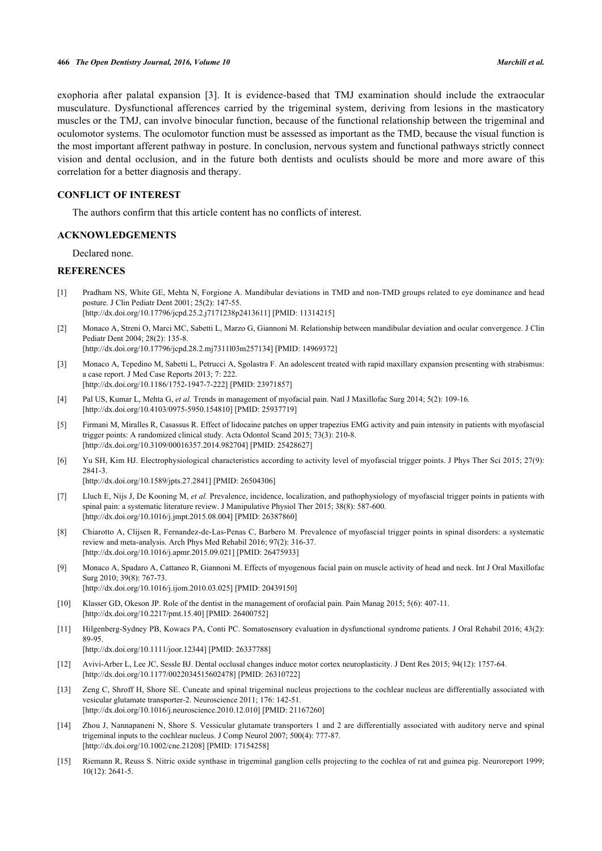exophoria after palatal expansion [\[3](#page-6-2)]. It is evidence-based that TMJ examination should include the extraocular musculature. Dysfunctional afferences carried by the trigeminal system, deriving from lesions in the masticatory muscles or the TMJ, can involve binocular function, because of the functional relationship between the trigeminal and oculomotor systems. The oculomotor function must be assessed as important as the TMD, because the visual function is the most important afferent pathway in posture. In conclusion, nervous system and functional pathways strictly connect vision and dental occlusion, and in the future both dentists and oculists should be more and more aware of this correlation for a better diagnosis and therapy.

### **CONFLICT OF INTEREST**

The authors confirm that this article content has no conflicts of interest.

### **ACKNOWLEDGEMENTS**

Declared none.

# **REFERENCES**

- <span id="page-6-0"></span>[1] Pradham NS, White GE, Mehta N, Forgione A. Mandibular deviations in TMD and non-TMD groups related to eye dominance and head posture. J Clin Pediatr Dent 2001; 25(2): 147-55. [\[http://dx.doi.org/10.17796/jcpd.25.2.j7171238p2413611\]](http://dx.doi.org/10.17796/jcpd.25.2.j7171238p2413611) [PMID: [11314215](http://www.ncbi.nlm.nih.gov/pubmed/11314215)]
- <span id="page-6-1"></span>[2] Monaco A, Streni O, Marci MC, Sabetti L, Marzo G, Giannoni M. Relationship between mandibular deviation and ocular convergence. J Clin Pediatr Dent 2004; 28(2): 135-8.

[\[http://dx.doi.org/10.17796/jcpd.28.2.mj7311l03m257134](http://dx.doi.org/10.17796/jcpd.28.2.mj7311l03m257134)] [PMID: [14969372](http://www.ncbi.nlm.nih.gov/pubmed/14969372)]

- <span id="page-6-2"></span>[3] Monaco A, Tepedino M, Sabetti L, Petrucci A, Sgolastra F. An adolescent treated with rapid maxillary expansion presenting with strabismus: a case report. J Med Case Reports 2013; 7: 222. [\[http://dx.doi.org/10.1186/1752-1947-7-222\]](http://dx.doi.org/10.1186/1752-1947-7-222) [PMID: [23971857](http://www.ncbi.nlm.nih.gov/pubmed/23971857)]
- <span id="page-6-3"></span>[4] Pal US, Kumar L, Mehta G, *et al.* Trends in management of myofacial pain. Natl J Maxillofac Surg 2014; 5(2): 109-16. [\[http://dx.doi.org/10.4103/0975-5950.154810](http://dx.doi.org/10.4103/0975-5950.154810)] [PMID: [25937719](http://www.ncbi.nlm.nih.gov/pubmed/25937719)]
- [5] Firmani M, Miralles R, Casassus R. Effect of lidocaine patches on upper trapezius EMG activity and pain intensity in patients with myofascial trigger points: A randomized clinical study. Acta Odontol Scand 2015; 73(3): 210-8. [\[http://dx.doi.org/10.3109/00016357.2014.982704\]](http://dx.doi.org/10.3109/00016357.2014.982704) [PMID: [25428627](http://www.ncbi.nlm.nih.gov/pubmed/25428627)]
- [6] Yu SH, Kim HJ. Electrophysiological characteristics according to activity level of myofascial trigger points. J Phys Ther Sci 2015; 27(9): 2841-3.

[\[http://dx.doi.org/10.1589/jpts.27.2841](http://dx.doi.org/10.1589/jpts.27.2841)] [PMID: [26504306\]](http://www.ncbi.nlm.nih.gov/pubmed/26504306)

- [7] Lluch E, Nijs J, De Kooning M, *et al.* Prevalence, incidence, localization, and pathophysiology of myofascial trigger points in patients with spinal pain: a systematic literature review. J Manipulative Physiol Ther 2015; 38(8): 587-600. [\[http://dx.doi.org/10.1016/j.jmpt.2015.08.004\]](http://dx.doi.org/10.1016/j.jmpt.2015.08.004) [PMID: [26387860](http://www.ncbi.nlm.nih.gov/pubmed/26387860)]
- [8] Chiarotto A, Clijsen R, Fernandez-de-Las-Penas C, Barbero M. Prevalence of myofascial trigger points in spinal disorders: a systematic review and meta-analysis. Arch Phys Med Rehabil 2016; 97(2): 316-37. [\[http://dx.doi.org/10.1016/j.apmr.2015.09.021](http://dx.doi.org/10.1016/j.apmr.2015.09.021)] [PMID: [26475933](http://www.ncbi.nlm.nih.gov/pubmed/26475933)]
- <span id="page-6-4"></span>[9] Monaco A, Spadaro A, Cattaneo R, Giannoni M. Effects of myogenous facial pain on muscle activity of head and neck. Int J Oral Maxillofac Surg 2010; 39(8): 767-73. [\[http://dx.doi.org/10.1016/j.ijom.2010.03.025\]](http://dx.doi.org/10.1016/j.ijom.2010.03.025) [PMID: [20439150](http://www.ncbi.nlm.nih.gov/pubmed/20439150)]
- <span id="page-6-5"></span>[10] Klasser GD, Okeson JP. Role of the dentist in the management of orofacial pain. Pain Manag 2015; 5(6): 407-11. [\[http://dx.doi.org/10.2217/pmt.15.40](http://dx.doi.org/10.2217/pmt.15.40)] [PMID: [26400752\]](http://www.ncbi.nlm.nih.gov/pubmed/26400752)
- [11] Hilgenberg-Sydney PB, Kowacs PA, Conti PC. Somatosensory evaluation in dysfunctional syndrome patients. J Oral Rehabil 2016; 43(2): 89-95.

[\[http://dx.doi.org/10.1111/joor.12344\]](http://dx.doi.org/10.1111/joor.12344) [PMID: [26337788](http://www.ncbi.nlm.nih.gov/pubmed/26337788)]

- <span id="page-6-6"></span>[12] Avivi-Arber L, Lee JC, Sessle BJ. Dental occlusal changes induce motor cortex neuroplasticity. J Dent Res 2015; 94(12): 1757-64. [\[http://dx.doi.org/10.1177/0022034515602478\]](http://dx.doi.org/10.1177/0022034515602478) [PMID: [26310722](http://www.ncbi.nlm.nih.gov/pubmed/26310722)]
- <span id="page-6-7"></span>[13] Zeng C, Shroff H, Shore SE. Cuneate and spinal trigeminal nucleus projections to the cochlear nucleus are differentially associated with vesicular glutamate transporter-2. Neuroscience 2011; 176: 142-51. [\[http://dx.doi.org/10.1016/j.neuroscience.2010.12.010\]](http://dx.doi.org/10.1016/j.neuroscience.2010.12.010) [PMID: [21167260](http://www.ncbi.nlm.nih.gov/pubmed/21167260)]
- [14] Zhou J, Nannapaneni N, Shore S. Vessicular glutamate transporters 1 and 2 are differentially associated with auditory nerve and spinal trigeminal inputs to the cochlear nucleus. J Comp Neurol 2007; 500(4): 777-87. [\[http://dx.doi.org/10.1002/cne.21208\]](http://dx.doi.org/10.1002/cne.21208) [PMID: [17154258](http://www.ncbi.nlm.nih.gov/pubmed/17154258)]
- [15] Riemann R, Reuss S. Nitric oxide synthase in trigeminal ganglion cells projecting to the cochlea of rat and guinea pig. Neuroreport 1999; 10(12): 2641-5.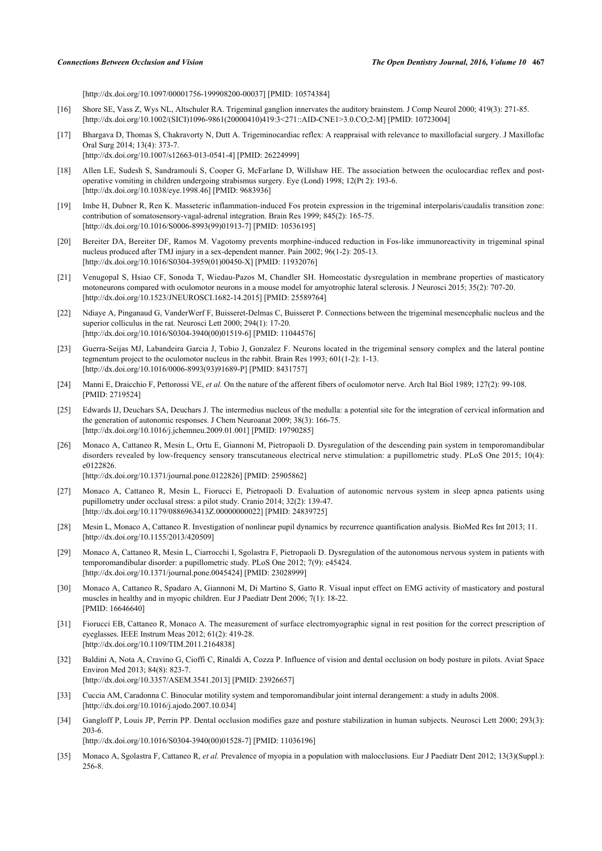[\[http://dx.doi.org/10.1097/00001756-199908200-00037](http://dx.doi.org/10.1097/00001756-199908200-00037)] [PMID: [10574384\]](http://www.ncbi.nlm.nih.gov/pubmed/10574384)

- <span id="page-7-0"></span>[16] Shore SE, Vass Z, Wys NL, Altschuler RA. Trigeminal ganglion innervates the auditory brainstem. J Comp Neurol 2000; 419(3): 271-85. [\[http://dx.doi.org/10.1002/\(SICI\)1096-9861\(20000410\)419:3<271::AID-CNE1>3.0.CO;2-M\]](http://dx.doi.org/10.1002/(SICI)1096-9861(20000410)419:3<271::AID-CNE1>3.0.CO;2-M) [PMID: [10723004](http://www.ncbi.nlm.nih.gov/pubmed/10723004)]
- <span id="page-7-1"></span>[17] Bhargava D, Thomas S, Chakravorty N, Dutt A. Trigeminocardiac reflex: A reappraisal with relevance to maxillofacial surgery. J Maxillofac Oral Surg 2014; 13(4): 373-7. [\[http://dx.doi.org/10.1007/s12663-013-0541-4\]](http://dx.doi.org/10.1007/s12663-013-0541-4) [PMID: [26224999](http://www.ncbi.nlm.nih.gov/pubmed/26224999)]
- [18] Allen LE, Sudesh S, Sandramouli S, Cooper G, McFarlane D, Willshaw HE. The association between the oculocardiac reflex and postoperative vomiting in children undergoing strabismus surgery. Eye (Lond) 1998; 12(Pt 2): 193-6. [\[http://dx.doi.org/10.1038/eye.1998.46\]](http://dx.doi.org/10.1038/eye.1998.46) [PMID: [9683936](http://www.ncbi.nlm.nih.gov/pubmed/9683936)]
- [19] Imbe H, Dubner R, Ren K. Masseteric inflammation-induced Fos protein expression in the trigeminal interpolaris/caudalis transition zone: contribution of somatosensory-vagal-adrenal integration. Brain Res 1999; 845(2): 165-75. [\[http://dx.doi.org/10.1016/S0006-8993\(99\)01913-7\]](http://dx.doi.org/10.1016/S0006-8993(99)01913-7) [PMID: [10536195](http://www.ncbi.nlm.nih.gov/pubmed/10536195)]
- <span id="page-7-2"></span>[20] Bereiter DA, Bereiter DF, Ramos M. Vagotomy prevents morphine-induced reduction in Fos-like immunoreactivity in trigeminal spinal nucleus produced after TMJ injury in a sex-dependent manner. Pain 2002; 96(1-2): 205-13. [\[http://dx.doi.org/10.1016/S0304-3959\(01\)00450-X\]](http://dx.doi.org/10.1016/S0304-3959(01)00450-X) [PMID: [11932076](http://www.ncbi.nlm.nih.gov/pubmed/11932076)]
- <span id="page-7-3"></span>[21] Venugopal S, Hsiao CF, Sonoda T, Wiedau-Pazos M, Chandler SH. Homeostatic dysregulation in membrane properties of masticatory motoneurons compared with oculomotor neurons in a mouse model for amyotrophic lateral sclerosis. J Neurosci 2015; 35(2): 707-20. [\[http://dx.doi.org/10.1523/JNEUROSCI.1682-14.2015\]](http://dx.doi.org/10.1523/JNEUROSCI.1682-14.2015) [PMID: [25589764](http://www.ncbi.nlm.nih.gov/pubmed/25589764)]
- [22] Ndiaye A, Pinganaud G, VanderWerf F, Buisseret-Delmas C, Buisseret P. Connections between the trigeminal mesencephalic nucleus and the superior colliculus in the rat. Neurosci Lett 2000; 294(1): 17-20. [\[http://dx.doi.org/10.1016/S0304-3940\(00\)01519-6\]](http://dx.doi.org/10.1016/S0304-3940(00)01519-6) [PMID: [11044576](http://www.ncbi.nlm.nih.gov/pubmed/11044576)]
- [23] Guerra-Seijas MJ, Labandeira Garcia J, Tobio J, Gonzalez F. Neurons located in the trigeminal sensory complex and the lateral pontine tegmentum project to the oculomotor nucleus in the rabbit. Brain Res 1993; 601(1-2): 1-13. [\[http://dx.doi.org/10.1016/0006-8993\(93\)91689-P\]](http://dx.doi.org/10.1016/0006-8993(93)91689-P) [PMID: [8431757](http://www.ncbi.nlm.nih.gov/pubmed/8431757)]
- <span id="page-7-4"></span>[24] Manni E, Draicchio F, Pettorossi VE, *et al.* On the nature of the afferent fibers of oculomotor nerve. Arch Ital Biol 1989; 127(2): 99-108. [PMID: [2719524\]](http://www.ncbi.nlm.nih.gov/pubmed/2719524)
- <span id="page-7-5"></span>[25] Edwards IJ, Deuchars SA, Deuchars J. The intermedius nucleus of the medulla: a potential site for the integration of cervical information and the generation of autonomic responses. J Chem Neuroanat 2009; 38(3): 166-75. [\[http://dx.doi.org/10.1016/j.jchemneu.2009.01.001](http://dx.doi.org/10.1016/j.jchemneu.2009.01.001)] [PMID: [19790285\]](http://www.ncbi.nlm.nih.gov/pubmed/19790285)
- <span id="page-7-11"></span>[26] Monaco A, Cattaneo R, Mesin L, Ortu E, Giannoni M, Pietropaoli D. Dysregulation of the descending pain system in temporomandibular disorders revealed by low-frequency sensory transcutaneous electrical nerve stimulation: a pupillometric study. PLoS One 2015; 10(4): e0122826. [\[http://dx.doi.org/10.1371/journal.pone.0122826](http://dx.doi.org/10.1371/journal.pone.0122826)] [PMID: [25905862\]](http://www.ncbi.nlm.nih.gov/pubmed/25905862)
- <span id="page-7-10"></span>[27] Monaco A, Cattaneo R, Mesin L, Fiorucci E, Pietropaoli D. Evaluation of autonomic nervous system in sleep apnea patients using pupillometry under occlusal stress: a pilot study. Cranio 2014; 32(2): 139-47. [\[http://dx.doi.org/10.1179/0886963413Z.00000000022\]](http://dx.doi.org/10.1179/0886963413Z.00000000022) [PMID: [24839725](http://www.ncbi.nlm.nih.gov/pubmed/24839725)]
- <span id="page-7-8"></span>[28] Mesin L, Monaco A, Cattaneo R. Investigation of nonlinear pupil dynamics by recurrence quantification analysis. BioMed Res Int 2013; 11. [\[http://dx.doi.org/10.1155/2013/420509](http://dx.doi.org/10.1155/2013/420509)]
- <span id="page-7-12"></span>[29] Monaco A, Cattaneo R, Mesin L, Ciarrocchi I, Sgolastra F, Pietropaoli D. Dysregulation of the autonomous nervous system in patients with temporomandibular disorder: a pupillometric study. PLoS One 2012; 7(9): e45424. [\[http://dx.doi.org/10.1371/journal.pone.0045424](http://dx.doi.org/10.1371/journal.pone.0045424)] [PMID: [23028999\]](http://www.ncbi.nlm.nih.gov/pubmed/23028999)
- <span id="page-7-7"></span>[30] Monaco A, Cattaneo R, Spadaro A, Giannoni M, Di Martino S, Gatto R. Visual input effect on EMG activity of masticatory and postural muscles in healthy and in myopic children. Eur J Paediatr Dent 2006; 7(1): 18-22. [PMID: [16646640\]](http://www.ncbi.nlm.nih.gov/pubmed/16646640)
- <span id="page-7-9"></span>[31] Fiorucci EB, Cattaneo R, Monaco A. The measurement of surface electromyographic signal in rest position for the correct prescription of eyeglasses. IEEE Instrum Meas 2012; 61(2): 419-28. [\[http://dx.doi.org/10.1109/TIM.2011.2164838](http://dx.doi.org/10.1109/TIM.2011.2164838)]
- <span id="page-7-13"></span>[32] Baldini A, Nota A, Cravino G, Cioffi C, Rinaldi A, Cozza P. Influence of vision and dental occlusion on body posture in pilots. Aviat Space Environ Med 2013; 84(8): 823-7. [\[http://dx.doi.org/10.3357/ASEM.3541.2013](http://dx.doi.org/10.3357/ASEM.3541.2013)] [PMID: [23926657\]](http://www.ncbi.nlm.nih.gov/pubmed/23926657)
- <span id="page-7-14"></span>[33] Cuccia AM, Caradonna C. Binocular motility system and temporomandibular joint internal derangement: a study in adults 2008. [\[http://dx.doi.org/10.1016/j.ajodo.2007.10.034\]](http://dx.doi.org/10.1016/j.ajodo.2007.10.034)
- <span id="page-7-15"></span>[34] Gangloff P, Louis JP, Perrin PP. Dental occlusion modifies gaze and posture stabilization in human subjects. Neurosci Lett 2000; 293(3): 203-6. [\[http://dx.doi.org/10.1016/S0304-3940\(00\)01528-7\]](http://dx.doi.org/10.1016/S0304-3940(00)01528-7) [PMID: [11036196](http://www.ncbi.nlm.nih.gov/pubmed/11036196)]
- <span id="page-7-6"></span>[35] Monaco A, Sgolastra F, Cattaneo R, *et al.* Prevalence of myopia in a population with malocclusions. Eur J Paediatr Dent 2012; 13(3)(Suppl.): 256-8.